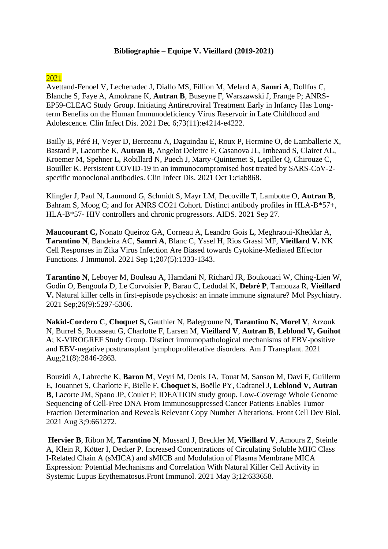## **Bibliographie – Equipe V. Vieillard (2019-2021)**

## 2021

Avettand-Fenoel V, Lechenadec J, Diallo MS, Fillion M, Melard A, **Samri A**, Dollfus C, Blanche S, Faye A, Amokrane K, **Autran B**, Buseyne F, Warszawski J, Frange P; ANRS-EP59-CLEAC Study Group. [Initiating Antiretroviral Treatment Early in Infancy Has Long](https://pubmed.ncbi.nlm.nih.gov/34355738/)[term Benefits on the Human Immunodeficiency Virus Reservoir in Late Childhood and](https://pubmed.ncbi.nlm.nih.gov/34355738/)  [Adolescence. C](https://pubmed.ncbi.nlm.nih.gov/34355738/)lin Infect Dis. 2021 Dec 6;73(11):e4214-e4222.

Bailly B, Péré H, Veyer D, Berceanu A, Daguindau E, Roux P, Hermine O, de Lamballerie X, Bastard P, Lacombe K, **Autran B**, Angelot Delettre F, Casanova JL, Imbeaud S, Clairet AL, Kroemer M, Spehner L, Robillard N, Puech J, Marty-Quinternet S, Lepiller Q, Chirouze C, Bouiller K. [Persistent COVID-19 in an immunocompromised host treated by SARS-CoV-2](https://pubmed.ncbi.nlm.nih.gov/34598278/) [specific monoclonal antibodies. C](https://pubmed.ncbi.nlm.nih.gov/34598278/)lin Infect Dis. 2021 Oct 1:ciab868.

Klingler J, Paul N, Laumond G, Schmidt S, Mayr LM, Decoville T, Lambotte O, **Autran B**, Bahram S, Moog C; and for ANRS CO21 Cohort. Distinct antibody profiles in HLA-B\*57+, HLA-B\*57- [HIV controllers and chronic progressors. A](https://pubmed.ncbi.nlm.nih.gov/34581307/)IDS. 2021 Sep 27.

**Maucourant C,** Nonato Queiroz GA, Corneau A, Leandro Gois L, Meghraoui-Kheddar A, **Tarantino N**, Bandeira AC, **Samri A**, Blanc C, Yssel H, Rios Grassi MF, **Vieillard V.** [NK](https://pubmed.ncbi.nlm.nih.gov/34408012/)  [Cell Responses in Zika Virus Infection Are Biased towards Cytokine-Mediated Effector](https://pubmed.ncbi.nlm.nih.gov/34408012/)  [Functions. J](https://pubmed.ncbi.nlm.nih.gov/34408012/) Immunol. 2021 Sep 1;207(5):1333-1343.

**Tarantino N**, Leboyer M, Bouleau A, Hamdani N, Richard JR, Boukouaci W, Ching-Lien W, Godin O, Bengoufa D, Le Corvoisier P, Barau C, Ledudal K, **Debré P**, Tamouza R, **Vieillard V.** [Natural killer cells in first-episode psychosis: an innate immune signature? M](https://pubmed.ncbi.nlm.nih.gov/33456051/)ol Psychiatry. 2021 Sep;26(9):5297-5306.

**Nakid-Cordero C**, **Choquet S,** Gauthier N, Balegroune N, **Tarantino N, Morel V**, Arzouk N, Burrel S, Rousseau G, Charlotte F, Larsen M, **Vieillard V**, **Autran B**, **Leblond V, Guihot A**; K-VIROGREF Study Group. [Distinct immunopathological mechanisms of EBV-positive](https://pubmed.ncbi.nlm.nih.gov/33621411/)  [and EBV-negative posttransplant lymphoproliferative disorders. A](https://pubmed.ncbi.nlm.nih.gov/33621411/)m J Transplant. 2021 Aug;21(8):2846-2863.

Bouzidi A, Labreche K, **Baron M**, Veyri M, Denis JA, Touat M, Sanson M, Davi F, Guillerm E, Jouannet S, Charlotte F, Bielle F, **Choquet S**, Boëlle PY, Cadranel J, **Leblond V, Autran B**, Lacorte JM, Spano JP, Coulet F; IDEATION study group. [Low-Coverage Whole Genome](https://pubmed.ncbi.nlm.nih.gov/34710202/)  [Sequencing of Cell-Free DNA From Immunosuppressed Cancer Patients Enables Tumor](https://pubmed.ncbi.nlm.nih.gov/34710202/)  [Fraction Determination and Reveals Relevant Copy Number Alterations. F](https://pubmed.ncbi.nlm.nih.gov/34710202/)ront Cell Dev Biol. 2021 Aug 3;9:661272.

**[H](https://pubmed.ncbi.nlm.nih.gov/34012432/)ervier B**, Ribon M, **Tarantino N**, Mussard J, Breckler M, **Vieillard V**, Amoura Z, Steinle A, Klein R, Kötter I, Decker P. Increased Concentrations of Circulating Soluble MHC Class I-Related Chain A (sMICA) and sMICB and Modulation of Plasma Membrane MICA Expression: Potential Mechanisms and Correlation With Natural Killer Cell Activity in Systemic Lupus Erythematosus.Front Immunol. 2021 May 3;12:633658.